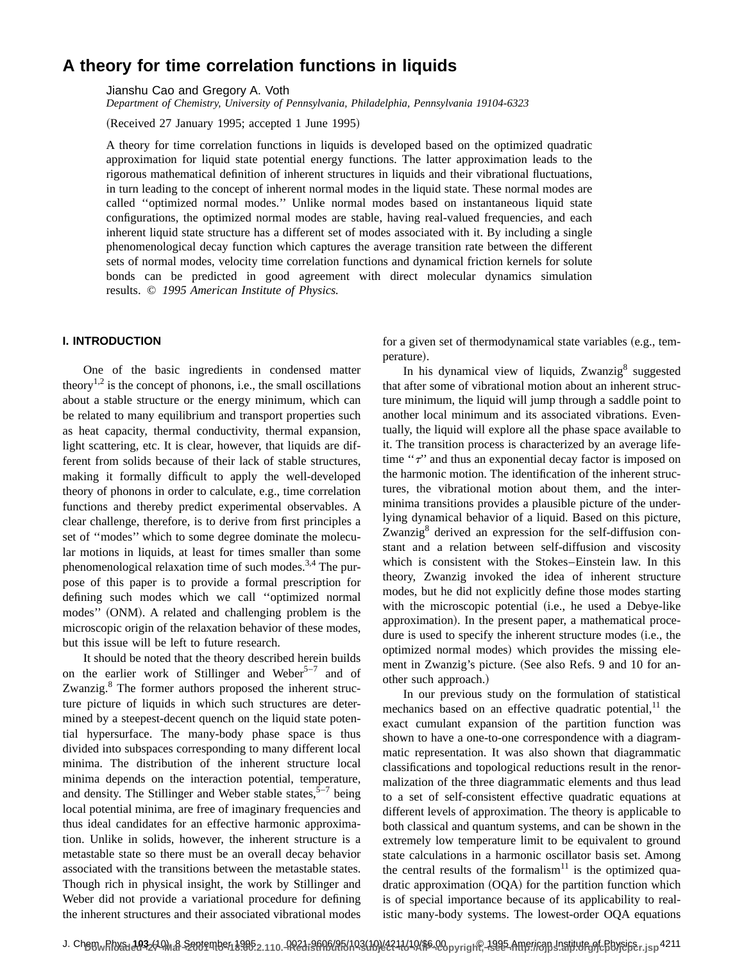# **A theory for time correlation functions in liquids**

Jianshu Cao and Gregory A. Voth

*Department of Chemistry, University of Pennsylvania, Philadelphia, Pennsylvania 19104-6323*

(Received 27 January 1995; accepted 1 June 1995)

A theory for time correlation functions in liquids is developed based on the optimized quadratic approximation for liquid state potential energy functions. The latter approximation leads to the rigorous mathematical definition of inherent structures in liquids and their vibrational fluctuations, in turn leading to the concept of inherent normal modes in the liquid state. These normal modes are called ''optimized normal modes.'' Unlike normal modes based on instantaneous liquid state configurations, the optimized normal modes are stable, having real-valued frequencies, and each inherent liquid state structure has a different set of modes associated with it. By including a single phenomenological decay function which captures the average transition rate between the different sets of normal modes, velocity time correlation functions and dynamical friction kernels for solute bonds can be predicted in good agreement with direct molecular dynamics simulation results. © *1995 American Institute of Physics.*

## **I. INTRODUCTION**

One of the basic ingredients in condensed matter theory<sup>1,2</sup> is the concept of phonons, i.e., the small oscillations about a stable structure or the energy minimum, which can be related to many equilibrium and transport properties such as heat capacity, thermal conductivity, thermal expansion, light scattering, etc. It is clear, however, that liquids are different from solids because of their lack of stable structures, making it formally difficult to apply the well-developed theory of phonons in order to calculate, e.g., time correlation functions and thereby predict experimental observables. A clear challenge, therefore, is to derive from first principles a set of ''modes'' which to some degree dominate the molecular motions in liquids, at least for times smaller than some phenomenological relaxation time of such modes.<sup>3,4</sup> The purpose of this paper is to provide a formal prescription for defining such modes which we call ''optimized normal modes" (ONM). A related and challenging problem is the microscopic origin of the relaxation behavior of these modes, but this issue will be left to future research.

It should be noted that the theory described herein builds on the earlier work of Stillinger and Weber<sup>5–7</sup> and of Zwanzig.<sup>8</sup> The former authors proposed the inherent structure picture of liquids in which such structures are determined by a steepest-decent quench on the liquid state potential hypersurface. The many-body phase space is thus divided into subspaces corresponding to many different local minima. The distribution of the inherent structure local minima depends on the interaction potential, temperature, and density. The Stillinger and Weber stable states,  $5-7$  being local potential minima, are free of imaginary frequencies and thus ideal candidates for an effective harmonic approximation. Unlike in solids, however, the inherent structure is a metastable state so there must be an overall decay behavior associated with the transitions between the metastable states. Though rich in physical insight, the work by Stillinger and Weber did not provide a variational procedure for defining the inherent structures and their associated vibrational modes for a given set of thermodynamical state variables (e.g., temperature).

In his dynamical view of liquids,  $Zwanzig<sup>8</sup>$  suggested that after some of vibrational motion about an inherent structure minimum, the liquid will jump through a saddle point to another local minimum and its associated vibrations. Eventually, the liquid will explore all the phase space available to it. The transition process is characterized by an average lifetime " $\tau$ " and thus an exponential decay factor is imposed on the harmonic motion. The identification of the inherent structures, the vibrational motion about them, and the interminima transitions provides a plausible picture of the underlying dynamical behavior of a liquid. Based on this picture, Zwanzig<sup>8</sup> derived an expression for the self-diffusion constant and a relation between self-diffusion and viscosity which is consistent with the Stokes–Einstein law. In this theory, Zwanzig invoked the idea of inherent structure modes, but he did not explicitly define those modes starting with the microscopic potential (i.e., he used a Debye-like approximation). In the present paper, a mathematical procedure is used to specify the inherent structure modes (i.e., the optimized normal modes) which provides the missing element in Zwanzig's picture. (See also Refs. 9 and 10 for another such approach.)

In our previous study on the formulation of statistical mechanics based on an effective quadratic potential, $^{11}$  the exact cumulant expansion of the partition function was shown to have a one-to-one correspondence with a diagrammatic representation. It was also shown that diagrammatic classifications and topological reductions result in the renormalization of the three diagrammatic elements and thus lead to a set of self-consistent effective quadratic equations at different levels of approximation. The theory is applicable to both classical and quantum systems, and can be shown in the extremely low temperature limit to be equivalent to ground state calculations in a harmonic oscillator basis set. Among the central results of the formalism $11$  is the optimized quadratic approximation  $(OQA)$  for the partition function which is of special importance because of its applicability to realistic many-body systems. The lowest-order OQA equations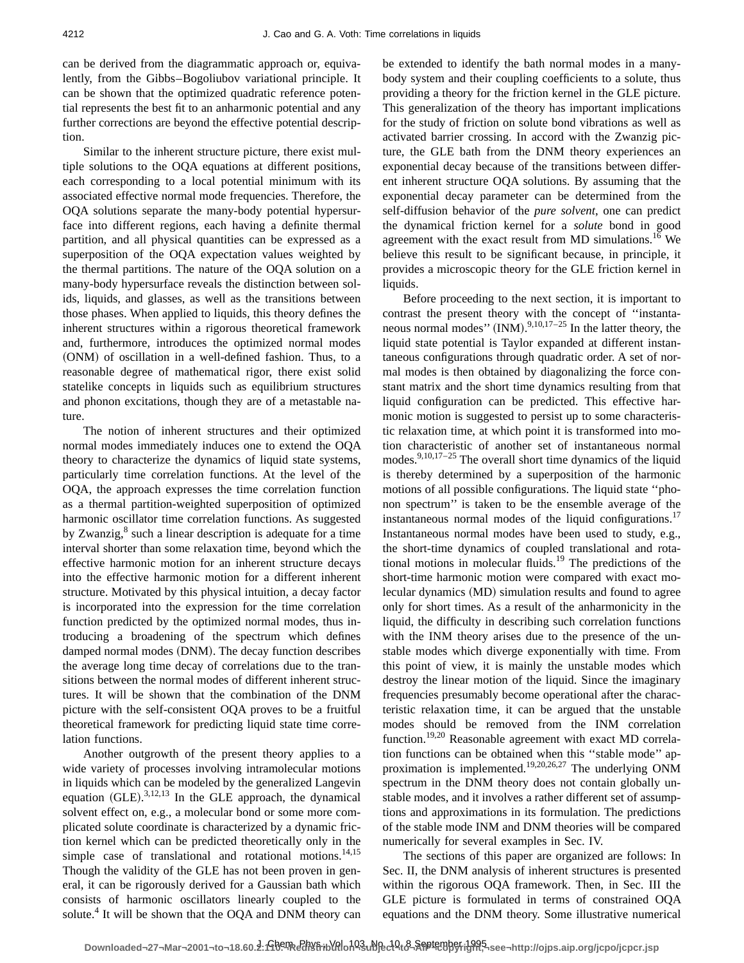can be derived from the diagrammatic approach or, equivalently, from the Gibbs–Bogoliubov variational principle. It can be shown that the optimized quadratic reference potential represents the best fit to an anharmonic potential and any further corrections are beyond the effective potential description.

Similar to the inherent structure picture, there exist multiple solutions to the OQA equations at different positions, each corresponding to a local potential minimum with its associated effective normal mode frequencies. Therefore, the OQA solutions separate the many-body potential hypersurface into different regions, each having a definite thermal partition, and all physical quantities can be expressed as a superposition of the OQA expectation values weighted by the thermal partitions. The nature of the OQA solution on a many-body hypersurface reveals the distinction between solids, liquids, and glasses, as well as the transitions between those phases. When applied to liquids, this theory defines the inherent structures within a rigorous theoretical framework and, furthermore, introduces the optimized normal modes (ONM) of oscillation in a well-defined fashion. Thus, to a reasonable degree of mathematical rigor, there exist solid statelike concepts in liquids such as equilibrium structures and phonon excitations, though they are of a metastable nature.

The notion of inherent structures and their optimized normal modes immediately induces one to extend the OQA theory to characterize the dynamics of liquid state systems, particularly time correlation functions. At the level of the OQA, the approach expresses the time correlation function as a thermal partition-weighted superposition of optimized harmonic oscillator time correlation functions. As suggested by Zwanzig, $8 \text{ such a linear description is adequate for a time}$ interval shorter than some relaxation time, beyond which the effective harmonic motion for an inherent structure decays into the effective harmonic motion for a different inherent structure. Motivated by this physical intuition, a decay factor is incorporated into the expression for the time correlation function predicted by the optimized normal modes, thus introducing a broadening of the spectrum which defines damped normal modes (DNM). The decay function describes the average long time decay of correlations due to the transitions between the normal modes of different inherent structures. It will be shown that the combination of the DNM picture with the self-consistent OQA proves to be a fruitful theoretical framework for predicting liquid state time correlation functions.

Another outgrowth of the present theory applies to a wide variety of processes involving intramolecular motions in liquids which can be modeled by the generalized Langevin equation  $(GLE)$ .<sup>3,12,13</sup> In the GLE approach, the dynamical solvent effect on, e.g., a molecular bond or some more complicated solute coordinate is characterized by a dynamic friction kernel which can be predicted theoretically only in the simple case of translational and rotational motions.<sup>14,15</sup> Though the validity of the GLE has not been proven in general, it can be rigorously derived for a Gaussian bath which consists of harmonic oscillators linearly coupled to the solute.<sup>4</sup> It will be shown that the OQA and DNM theory can be extended to identify the bath normal modes in a manybody system and their coupling coefficients to a solute, thus providing a theory for the friction kernel in the GLE picture. This generalization of the theory has important implications for the study of friction on solute bond vibrations as well as activated barrier crossing. In accord with the Zwanzig picture, the GLE bath from the DNM theory experiences an exponential decay because of the transitions between different inherent structure OQA solutions. By assuming that the exponential decay parameter can be determined from the self-diffusion behavior of the *pure solvent*, one can predict the dynamical friction kernel for a *solute* bond in good agreement with the exact result from MD simulations.<sup>16</sup> We believe this result to be significant because, in principle, it provides a microscopic theory for the GLE friction kernel in liquids.

Before proceeding to the next section, it is important to contrast the present theory with the concept of ''instantaneous normal modes"  $(INM).^{9,10,17-25}$  In the latter theory, the liquid state potential is Taylor expanded at different instantaneous configurations through quadratic order. A set of normal modes is then obtained by diagonalizing the force constant matrix and the short time dynamics resulting from that liquid configuration can be predicted. This effective harmonic motion is suggested to persist up to some characteristic relaxation time, at which point it is transformed into motion characteristic of another set of instantaneous normal modes. $9,10,17-25$  The overall short time dynamics of the liquid is thereby determined by a superposition of the harmonic motions of all possible configurations. The liquid state ''phonon spectrum'' is taken to be the ensemble average of the instantaneous normal modes of the liquid configurations.<sup>17</sup> Instantaneous normal modes have been used to study, e.g., the short-time dynamics of coupled translational and rotational motions in molecular fluids.<sup>19</sup> The predictions of the short-time harmonic motion were compared with exact molecular dynamics (MD) simulation results and found to agree only for short times. As a result of the anharmonicity in the liquid, the difficulty in describing such correlation functions with the INM theory arises due to the presence of the unstable modes which diverge exponentially with time. From this point of view, it is mainly the unstable modes which destroy the linear motion of the liquid. Since the imaginary frequencies presumably become operational after the characteristic relaxation time, it can be argued that the unstable modes should be removed from the INM correlation function.19,20 Reasonable agreement with exact MD correlation functions can be obtained when this ''stable mode'' approximation is implemented.19,20,26,27 The underlying ONM spectrum in the DNM theory does not contain globally unstable modes, and it involves a rather different set of assumptions and approximations in its formulation. The predictions of the stable mode INM and DNM theories will be compared numerically for several examples in Sec. IV.

The sections of this paper are organized are follows: In Sec. II, the DNM analysis of inherent structures is presented within the rigorous OQA framework. Then, in Sec. III the GLE picture is formulated in terms of constrained OQA equations and the DNM theory. Some illustrative numerical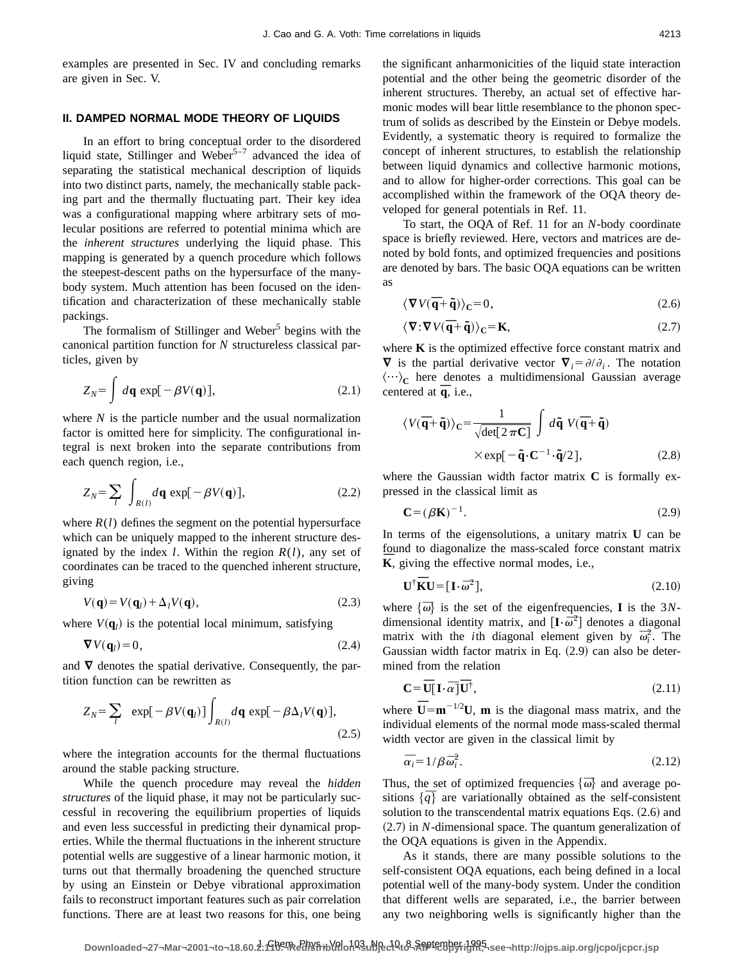examples are presented in Sec. IV and concluding remarks are given in Sec. V.

## **II. DAMPED NORMAL MODE THEORY OF LIQUIDS**

In an effort to bring conceptual order to the disordered liquid state, Stillinger and Weber<sup>5-7</sup> advanced the idea of separating the statistical mechanical description of liquids into two distinct parts, namely, the mechanically stable packing part and the thermally fluctuating part. Their key idea was a configurational mapping where arbitrary sets of molecular positions are referred to potential minima which are the *inherent structures* underlying the liquid phase. This mapping is generated by a quench procedure which follows the steepest-descent paths on the hypersurface of the manybody system. Much attention has been focused on the identification and characterization of these mechanically stable packings.

The formalism of Stillinger and Weber<sup>5</sup> begins with the canonical partition function for *N* structureless classical particles, given by

$$
Z_N = \int d\mathbf{q} \, \exp[-\beta V(\mathbf{q})],\tag{2.1}
$$

where *N* is the particle number and the usual normalization factor is omitted here for simplicity. The configurational integral is next broken into the separate contributions from each quench region, i.e.,

$$
Z_N = \sum_l \int_{R(l)} d\mathbf{q} \exp[-\beta V(\mathbf{q})], \qquad (2.2)
$$

where  $R(l)$  defines the segment on the potential hypersurface which can be uniquely mapped to the inherent structure designated by the index *l*. Within the region *R*(*l*), any set of coordinates can be traced to the quenched inherent structure, giving

$$
V(\mathbf{q}) = V(\mathbf{q}_l) + \Delta_l V(\mathbf{q}),\tag{2.3}
$$

where  $V(\mathbf{q}_l)$  is the potential local minimum, satisfying

$$
\nabla V(\mathbf{q}_l) = 0,\tag{2.4}
$$

and  $\nabla$  denotes the spatial derivative. Consequently, the partition function can be rewritten as

$$
Z_N = \sum_l \exp[-\beta V(\mathbf{q}_l)] \int_{R(l)} d\mathbf{q} \exp[-\beta \Delta_l V(\mathbf{q})],
$$
\n(2.5)

where the integration accounts for the thermal fluctuations around the stable packing structure.

While the quench procedure may reveal the *hidden structures* of the liquid phase, it may not be particularly successful in recovering the equilibrium properties of liquids and even less successful in predicting their dynamical properties. While the thermal fluctuations in the inherent structure potential wells are suggestive of a linear harmonic motion, it turns out that thermally broadening the quenched structure by using an Einstein or Debye vibrational approximation fails to reconstruct important features such as pair correlation functions. There are at least two reasons for this, one being the significant anharmonicities of the liquid state interaction potential and the other being the geometric disorder of the inherent structures. Thereby, an actual set of effective harmonic modes will bear little resemblance to the phonon spectrum of solids as described by the Einstein or Debye models. Evidently, a systematic theory is required to formalize the concept of inherent structures, to establish the relationship between liquid dynamics and collective harmonic motions, and to allow for higher-order corrections. This goal can be accomplished within the framework of the OQA theory developed for general potentials in Ref. 11.

To start, the OQA of Ref. 11 for an *N*-body coordinate space is briefly reviewed. Here, vectors and matrices are denoted by bold fonts, and optimized frequencies and positions are denoted by bars. The basic OQA equations can be written as

$$
\langle \mathbf{\nabla} V(\overline{\mathbf{q}} + \tilde{\mathbf{q}}) \rangle_{\mathbf{C}} = 0, \qquad (2.6)
$$

$$
\langle \nabla \cdot \nabla V(\overline{\mathbf{q}} + \tilde{\mathbf{q}}) \rangle_{\mathbf{C}} = \mathbf{K},\tag{2.7}
$$

where **K** is the optimized effective force constant matrix and  $\nabla$  is the partial derivative vector  $\nabla_i = \partial/\partial_i$ . The notation  $\langle \cdots \rangle_C$  here denotes a multidimensional Gaussian average centered at  $\overline{q}$ , i.e.,

$$
\langle V(\overline{\mathbf{q}} + \tilde{\mathbf{q}}) \rangle_{\mathbf{C}} = \frac{1}{\sqrt{\det[2 \pi \mathbf{C}]} \int d\tilde{\mathbf{q}} \ V(\overline{\mathbf{q}} + \tilde{\mathbf{q}})
$$

$$
\times \exp[-\tilde{\mathbf{q}} \cdot \mathbf{C}^{-1} \cdot \tilde{\mathbf{q}}/2], \tag{2.8}
$$

where the Gaussian width factor matrix **C** is formally expressed in the classical limit as

$$
\mathbf{C} = (\beta \mathbf{K})^{-1}.
$$
 (2.9)

In terms of the eigensolutions, a unitary matrix **U** can be found to diagonalize the mass-scaled force constant matrix **K**, giving the effective normal modes, i.e.,

$$
\mathbf{U}^{\dagger}\overline{\mathbf{K}}\mathbf{U} = [\mathbf{I}\cdot\overline{\omega}^2],\tag{2.10}
$$

where  $\{\overline{\omega}\}\$ is the set of the eigenfrequencies, **I** is the 3*N*dimensional identity matrix, and  $[I \cdot \vec{\omega}^2]$  denotes a diagonal matrix with the *i*<sup>th</sup> diagonal element given by  $\overline{\omega}_i^2$ . The Gaussian width factor matrix in Eq.  $(2.9)$  can also be determined from the relation

$$
\mathbf{C} = \overline{\mathbf{U}}[\mathbf{I} \cdot \overline{\alpha}] \overline{\mathbf{U}}^{\dagger}, \tag{2.11}
$$

where  $\overline{\mathbf{U}} = \mathbf{m}^{-1/2} \mathbf{U}$ , **m** is the diagonal mass matrix, and the individual elements of the normal mode mass-scaled thermal width vector are given in the classical limit by

$$
\overline{\alpha}_i = 1/\beta \overline{\omega}_i^2. \tag{2.12}
$$

Thus, the set of optimized frequencies  $\{\overline{\omega}\}\$  and average positions  $\{\bar{q}\}$  are variationally obtained as the self-consistent solution to the transcendental matrix equations Eqs.  $(2.6)$  and  $(2.7)$  in *N*-dimensional space. The quantum generalization of the OQA equations is given in the Appendix.

As it stands, there are many possible solutions to the self-consistent OQA equations, each being defined in a local potential well of the many-body system. Under the condition that different wells are separated, i.e., the barrier between any two neighboring wells is significantly higher than the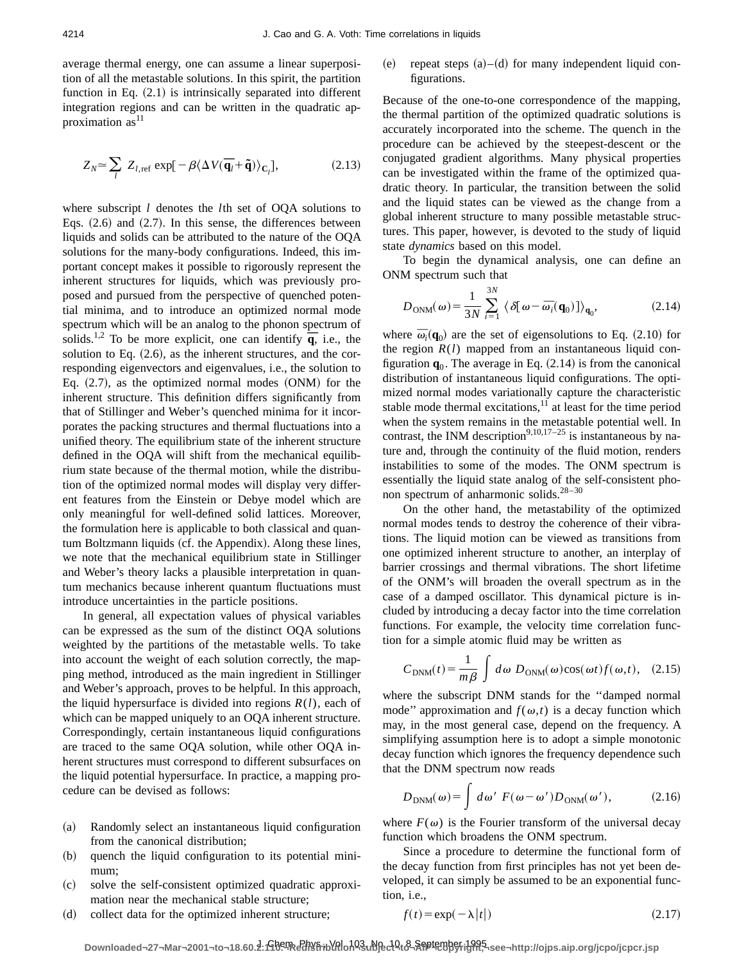average thermal energy, one can assume a linear superposition of all the metastable solutions. In this spirit, the partition function in Eq.  $(2.1)$  is intrinsically separated into different integration regions and can be written in the quadratic approximation  $as<sup>11</sup>$ 

$$
Z_N \simeq \sum_l Z_{l,ref} \exp[-\beta \langle \Delta V(\overline{\mathbf{q}}_l + \tilde{\mathbf{q}}) \rangle_{\mathbf{C}_l}],
$$
 (2.13)

where subscript *l* denotes the *l*th set of OQA solutions to Eqs.  $(2.6)$  and  $(2.7)$ . In this sense, the differences between liquids and solids can be attributed to the nature of the OQA solutions for the many-body configurations. Indeed, this important concept makes it possible to rigorously represent the inherent structures for liquids, which was previously proposed and pursued from the perspective of quenched potential minima, and to introduce an optimized normal mode spectrum which will be an analog to the phonon spectrum of spectrum which will be an analog to the phonon spectrum of solids.<sup>1,2</sup> To be more explicit, one can identify  $\overline{q}$ , i.e., the solution to Eq.  $(2.6)$ , as the inherent structures, and the corresponding eigenvectors and eigenvalues, i.e., the solution to Eq.  $(2.7)$ , as the optimized normal modes  $(ONM)$  for the inherent structure. This definition differs significantly from that of Stillinger and Weber's quenched minima for it incorporates the packing structures and thermal fluctuations into a unified theory. The equilibrium state of the inherent structure defined in the OQA will shift from the mechanical equilibrium state because of the thermal motion, while the distribution of the optimized normal modes will display very different features from the Einstein or Debye model which are only meaningful for well-defined solid lattices. Moreover, the formulation here is applicable to both classical and quantum Boltzmann liquids (cf. the Appendix). Along these lines, we note that the mechanical equilibrium state in Stillinger and Weber's theory lacks a plausible interpretation in quantum mechanics because inherent quantum fluctuations must introduce uncertainties in the particle positions.

In general, all expectation values of physical variables can be expressed as the sum of the distinct OQA solutions weighted by the partitions of the metastable wells. To take into account the weight of each solution correctly, the mapping method, introduced as the main ingredient in Stillinger and Weber's approach, proves to be helpful. In this approach, the liquid hypersurface is divided into regions  $R(l)$ , each of which can be mapped uniquely to an OQA inherent structure. Correspondingly, certain instantaneous liquid configurations are traced to the same OQA solution, while other OQA inherent structures must correspond to different subsurfaces on the liquid potential hypersurface. In practice, a mapping procedure can be devised as follows:

- (a) Randomly select an instantaneous liquid configuration from the canonical distribution;
- (b) quench the liquid configuration to its potential minimum;
- ~c! solve the self-consistent optimized quadratic approximation near the mechanical stable structure;
- (d) collect data for the optimized inherent structure;

repeat steps  $(a)$ – $(d)$  for many independent liquid configurations.

Because of the one-to-one correspondence of the mapping, the thermal partition of the optimized quadratic solutions is accurately incorporated into the scheme. The quench in the procedure can be achieved by the steepest-descent or the conjugated gradient algorithms. Many physical properties can be investigated within the frame of the optimized quadratic theory. In particular, the transition between the solid and the liquid states can be viewed as the change from a global inherent structure to many possible metastable structures. This paper, however, is devoted to the study of liquid state *dynamics* based on this model.

To begin the dynamical analysis, one can define an ONM spectrum such that

$$
D_{\text{ONM}}(\omega) = \frac{1}{3N} \sum_{i=1}^{3N} \langle \delta[\omega - \bar{\omega}_i(\mathbf{q}_0)] \rangle_{\mathbf{q}_0},
$$
 (2.14)

where  $\overline{\omega}_i(\mathbf{q}_0)$  are the set of eigensolutions to Eq. (2.10) for the region  $R(l)$  mapped from an instantaneous liquid configuration  $\mathbf{q}_0$ . The average in Eq.  $(2.14)$  is from the canonical distribution of instantaneous liquid configurations. The optimized normal modes variationally capture the characteristic stable mode thermal excitations, $^{11}$  at least for the time period when the system remains in the metastable potential well. In contrast, the INM description<sup>9,10,17–25</sup> is instantaneous by nature and, through the continuity of the fluid motion, renders instabilities to some of the modes. The ONM spectrum is essentially the liquid state analog of the self-consistent phonon spectrum of anharmonic solids.<sup>28-30</sup>

On the other hand, the metastability of the optimized normal modes tends to destroy the coherence of their vibrations. The liquid motion can be viewed as transitions from one optimized inherent structure to another, an interplay of barrier crossings and thermal vibrations. The short lifetime of the ONM's will broaden the overall spectrum as in the case of a damped oscillator. This dynamical picture is included by introducing a decay factor into the time correlation functions. For example, the velocity time correlation function for a simple atomic fluid may be written as

$$
C_{\text{DNM}}(t) = \frac{1}{m\beta} \int d\omega \ D_{\text{ONM}}(\omega) \cos(\omega t) f(\omega, t), \quad (2.15)
$$

where the subscript DNM stands for the ''damped normal mode" approximation and  $f(\omega, t)$  is a decay function which may, in the most general case, depend on the frequency. A simplifying assumption here is to adopt a simple monotonic decay function which ignores the frequency dependence such that the DNM spectrum now reads

$$
D_{\text{DNM}}(\omega) = \int d\omega' \ F(\omega - \omega') D_{\text{ONM}}(\omega'), \tag{2.16}
$$

where  $F(\omega)$  is the Fourier transform of the universal decay function which broadens the ONM spectrum.

Since a procedure to determine the functional form of the decay function from first principles has not yet been developed, it can simply be assumed to be an exponential function, i.e.,

$$
f(t) = \exp(-\lambda |t|)
$$
 (2.17)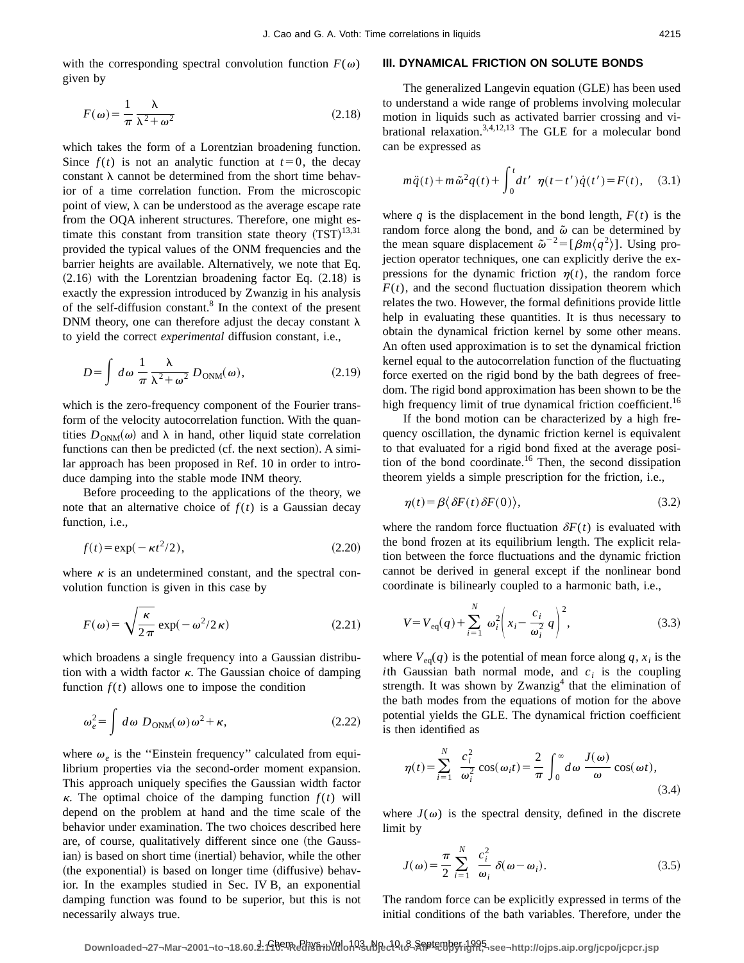with the corresponding spectral convolution function  $F(\omega)$ given by

$$
F(\omega) = \frac{1}{\pi} \frac{\lambda}{\lambda^2 + \omega^2}
$$
 (2.18)

which takes the form of a Lorentzian broadening function. Since  $f(t)$  is not an analytic function at  $t=0$ , the decay constant  $\lambda$  cannot be determined from the short time behavior of a time correlation function. From the microscopic point of view,  $\lambda$  can be understood as the average escape rate from the OQA inherent structures. Therefore, one might estimate this constant from transition state theory  $(TST)^{13,31}$ provided the typical values of the ONM frequencies and the barrier heights are available. Alternatively, we note that Eq.  $(2.16)$  with the Lorentzian broadening factor Eq.  $(2.18)$  is exactly the expression introduced by Zwanzig in his analysis of the self-diffusion constant.8 In the context of the present DNM theory, one can therefore adjust the decay constant  $\lambda$ to yield the correct *experimental* diffusion constant, i.e.,

$$
D = \int d\omega \, \frac{1}{\pi} \frac{\lambda}{\lambda^2 + \omega^2} \, D_{\text{ONM}}(\omega), \tag{2.19}
$$

which is the zero-frequency component of the Fourier transform of the velocity autocorrelation function. With the quantities  $D_{\text{ONM}}(\omega)$  and  $\lambda$  in hand, other liquid state correlation functions can then be predicted (cf. the next section). A similar approach has been proposed in Ref. 10 in order to introduce damping into the stable mode INM theory.

Before proceeding to the applications of the theory, we note that an alternative choice of  $f(t)$  is a Gaussian decay function, i.e.,

$$
f(t) = \exp(-\kappa t^2/2),\tag{2.20}
$$

where  $\kappa$  is an undetermined constant, and the spectral convolution function is given in this case by

$$
F(\omega) = \sqrt{\frac{\kappa}{2\pi}} \exp(-\omega^2/2\kappa)
$$
 (2.21)

which broadens a single frequency into a Gaussian distribution with a width factor  $\kappa$ . The Gaussian choice of damping function  $f(t)$  allows one to impose the condition

$$
\omega_e^2 = \int d\omega \ D_{\text{ONM}}(\omega)\,\omega^2 + \kappa,\tag{2.22}
$$

where  $\omega_e$  is the "Einstein frequency" calculated from equilibrium properties via the second-order moment expansion. This approach uniquely specifies the Gaussian width factor  $\kappa$ . The optimal choice of the damping function  $f(t)$  will depend on the problem at hand and the time scale of the behavior under examination. The two choices described here are, of course, qualitatively different since one (the Gaussian) is based on short time (inertial) behavior, while the other  $($ the exponential $)$  is based on longer time  $(diffusive)$  behavior. In the examples studied in Sec. IV B, an exponential damping function was found to be superior, but this is not necessarily always true.

#### **III. DYNAMICAL FRICTION ON SOLUTE BONDS**

The generalized Langevin equation (GLE) has been used to understand a wide range of problems involving molecular motion in liquids such as activated barrier crossing and vibrational relaxation.<sup>3,4,12,13</sup> The GLE for a molecular bond can be expressed as

$$
m\ddot{q}(t) + m\ddot{\omega}^{2}q(t) + \int_{0}^{t} dt' \eta(t-t')\dot{q}(t') = F(t), \quad (3.1)
$$

where  $q$  is the displacement in the bond length,  $F(t)$  is the random force along the bond, and  $\tilde{\omega}$  can be determined by the mean square displacement  $\tilde{\omega}^{-2} = [\beta m \langle q^2 \rangle]$ . Using projection operator techniques, one can explicitly derive the expressions for the dynamic friction  $\eta(t)$ , the random force  $F(t)$ , and the second fluctuation dissipation theorem which relates the two. However, the formal definitions provide little help in evaluating these quantities. It is thus necessary to obtain the dynamical friction kernel by some other means. An often used approximation is to set the dynamical friction kernel equal to the autocorrelation function of the fluctuating force exerted on the rigid bond by the bath degrees of freedom. The rigid bond approximation has been shown to be the high frequency limit of true dynamical friction coefficient.<sup>16</sup>

If the bond motion can be characterized by a high frequency oscillation, the dynamic friction kernel is equivalent to that evaluated for a rigid bond fixed at the average position of the bond coordinate.16 Then, the second dissipation theorem yields a simple prescription for the friction, i.e.,

$$
\eta(t) = \beta \langle \delta F(t) \delta F(0) \rangle, \tag{3.2}
$$

where the random force fluctuation  $\delta F(t)$  is evaluated with the bond frozen at its equilibrium length. The explicit relation between the force fluctuations and the dynamic friction cannot be derived in general except if the nonlinear bond coordinate is bilinearly coupled to a harmonic bath, i.e.,

$$
V = V_{\text{eq}}(q) + \sum_{i=1}^{N} \omega_i^2 \left( x_i - \frac{c_i}{\omega_i^2} q \right)^2,
$$
 (3.3)

where  $V_{eq}(q)$  is the potential of mean force along  $q$ ,  $x_i$  is the *i*th Gaussian bath normal mode, and  $c_i$  is the coupling strength. It was shown by Zwanzig<sup>4</sup> that the elimination of the bath modes from the equations of motion for the above potential yields the GLE. The dynamical friction coefficient is then identified as

$$
\eta(t) = \sum_{i=1}^{N} \frac{c_i^2}{\omega_i^2} \cos(\omega_i t) = \frac{2}{\pi} \int_0^{\infty} d\omega \frac{J(\omega)}{\omega} \cos(\omega t),
$$
\n(3.4)

where  $J(\omega)$  is the spectral density, defined in the discrete limit by

$$
J(\omega) = \frac{\pi}{2} \sum_{i=1}^{N} \frac{c_i^2}{\omega_i} \delta(\omega - \omega_i). \tag{3.5}
$$

The random force can be explicitly expressed in terms of the initial conditions of the bath variables. Therefore, under the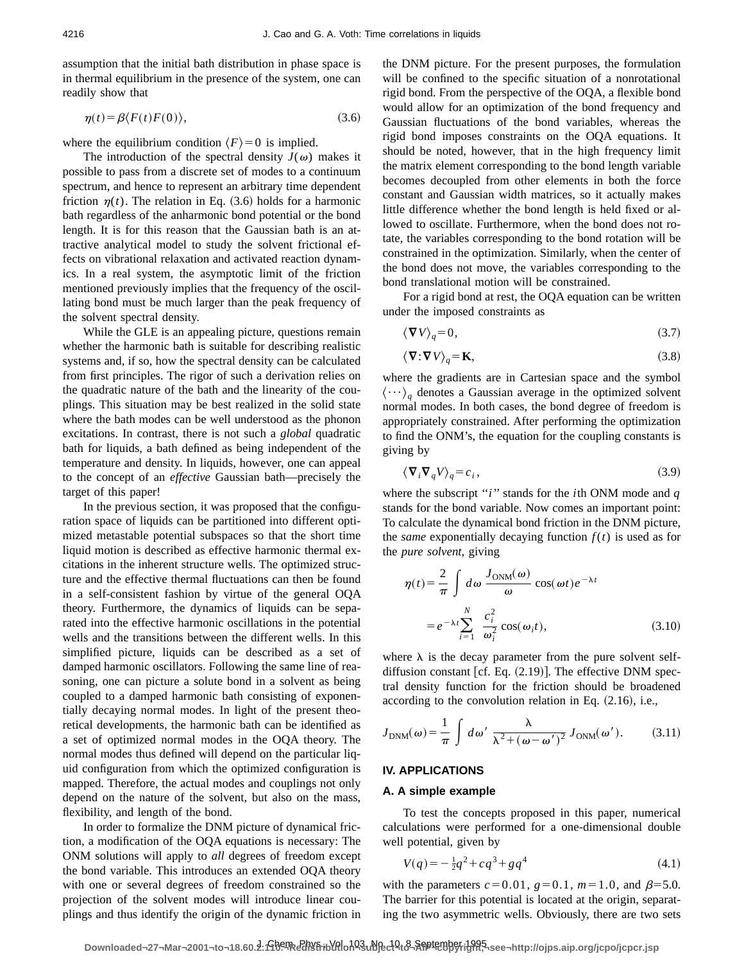assumption that the initial bath distribution in phase space is in thermal equilibrium in the presence of the system, one can readily show that

$$
\eta(t) = \beta \langle F(t)F(0) \rangle, \tag{3.6}
$$

where the equilibrium condition  $\langle F \rangle = 0$  is implied.

The introduction of the spectral density  $J(\omega)$  makes it possible to pass from a discrete set of modes to a continuum spectrum, and hence to represent an arbitrary time dependent friction  $\eta(t)$ . The relation in Eq. (3.6) holds for a harmonic bath regardless of the anharmonic bond potential or the bond length. It is for this reason that the Gaussian bath is an attractive analytical model to study the solvent frictional effects on vibrational relaxation and activated reaction dynamics. In a real system, the asymptotic limit of the friction mentioned previously implies that the frequency of the oscillating bond must be much larger than the peak frequency of the solvent spectral density.

While the GLE is an appealing picture, questions remain whether the harmonic bath is suitable for describing realistic systems and, if so, how the spectral density can be calculated from first principles. The rigor of such a derivation relies on the quadratic nature of the bath and the linearity of the couplings. This situation may be best realized in the solid state where the bath modes can be well understood as the phonon excitations. In contrast, there is not such a *global* quadratic bath for liquids, a bath defined as being independent of the temperature and density. In liquids, however, one can appeal to the concept of an *effective* Gaussian bath—precisely the target of this paper!

In the previous section, it was proposed that the configuration space of liquids can be partitioned into different optimized metastable potential subspaces so that the short time liquid motion is described as effective harmonic thermal excitations in the inherent structure wells. The optimized structure and the effective thermal fluctuations can then be found in a self-consistent fashion by virtue of the general OQA theory. Furthermore, the dynamics of liquids can be separated into the effective harmonic oscillations in the potential wells and the transitions between the different wells. In this simplified picture, liquids can be described as a set of damped harmonic oscillators. Following the same line of reasoning, one can picture a solute bond in a solvent as being coupled to a damped harmonic bath consisting of exponentially decaying normal modes. In light of the present theoretical developments, the harmonic bath can be identified as a set of optimized normal modes in the OQA theory. The normal modes thus defined will depend on the particular liquid configuration from which the optimized configuration is mapped. Therefore, the actual modes and couplings not only depend on the nature of the solvent, but also on the mass, flexibility, and length of the bond.

In order to formalize the DNM picture of dynamical friction, a modification of the OQA equations is necessary: The ONM solutions will apply to *all* degrees of freedom except the bond variable. This introduces an extended OQA theory with one or several degrees of freedom constrained so the projection of the solvent modes will introduce linear couplings and thus identify the origin of the dynamic friction in the DNM picture. For the present purposes, the formulation will be confined to the specific situation of a nonrotational rigid bond. From the perspective of the OQA, a flexible bond would allow for an optimization of the bond frequency and Gaussian fluctuations of the bond variables, whereas the rigid bond imposes constraints on the OQA equations. It should be noted, however, that in the high frequency limit the matrix element corresponding to the bond length variable becomes decoupled from other elements in both the force constant and Gaussian width matrices, so it actually makes little difference whether the bond length is held fixed or allowed to oscillate. Furthermore, when the bond does not rotate, the variables corresponding to the bond rotation will be constrained in the optimization. Similarly, when the center of the bond does not move, the variables corresponding to the bond translational motion will be constrained.

For a rigid bond at rest, the OQA equation can be written under the imposed constraints as

$$
\langle \mathbf{\nabla} V \rangle_q = 0,\tag{3.7}
$$

$$
\langle \mathbf{\nabla} \cdot \mathbf{\nabla} V \rangle_q = \mathbf{K},\tag{3.8}
$$

where the gradients are in Cartesian space and the symbol  $\langle \cdots \rangle_q$  denotes a Gaussian average in the optimized solvent normal modes. In both cases, the bond degree of freedom is appropriately constrained. After performing the optimization to find the ONM's, the equation for the coupling constants is giving by

$$
\langle \nabla_i \nabla_q V \rangle_q = c_i \,, \tag{3.9}
$$

where the subscript ''*i*'' stands for the *i*th ONM mode and *q* stands for the bond variable. Now comes an important point: To calculate the dynamical bond friction in the DNM picture, the *same* exponentially decaying function  $f(t)$  is used as for the *pure solvent*, giving

$$
\eta(t) = \frac{2}{\pi} \int d\omega \frac{J_{\text{ONM}}(\omega)}{\omega} \cos(\omega t) e^{-\lambda t}
$$

$$
= e^{-\lambda t} \sum_{i=1}^{N} \frac{c_i^2}{\omega_i^2} \cos(\omega_i t), \qquad (3.10)
$$

where  $\lambda$  is the decay parameter from the pure solvent selfdiffusion constant [cf. Eq.  $(2.19)$ ]. The effective DNM spectral density function for the friction should be broadened according to the convolution relation in Eq.  $(2.16)$ , i.e.,

$$
J_{\text{DNM}}(\omega) = \frac{1}{\pi} \int d\omega' \frac{\lambda}{\lambda^2 + (\omega - \omega')^2} J_{\text{ONM}}(\omega'). \tag{3.11}
$$

## **IV. APPLICATIONS**

#### **A. A simple example**

To test the concepts proposed in this paper, numerical calculations were performed for a one-dimensional double well potential, given by

$$
V(q) = -\frac{1}{2}q^2 + cq^3 + gq^4\tag{4.1}
$$

with the parameters  $c=0.01$ ,  $g=0.1$ ,  $m=1.0$ , and  $\beta=5.0$ . The barrier for this potential is located at the origin, separating the two asymmetric wells. Obviously, there are two sets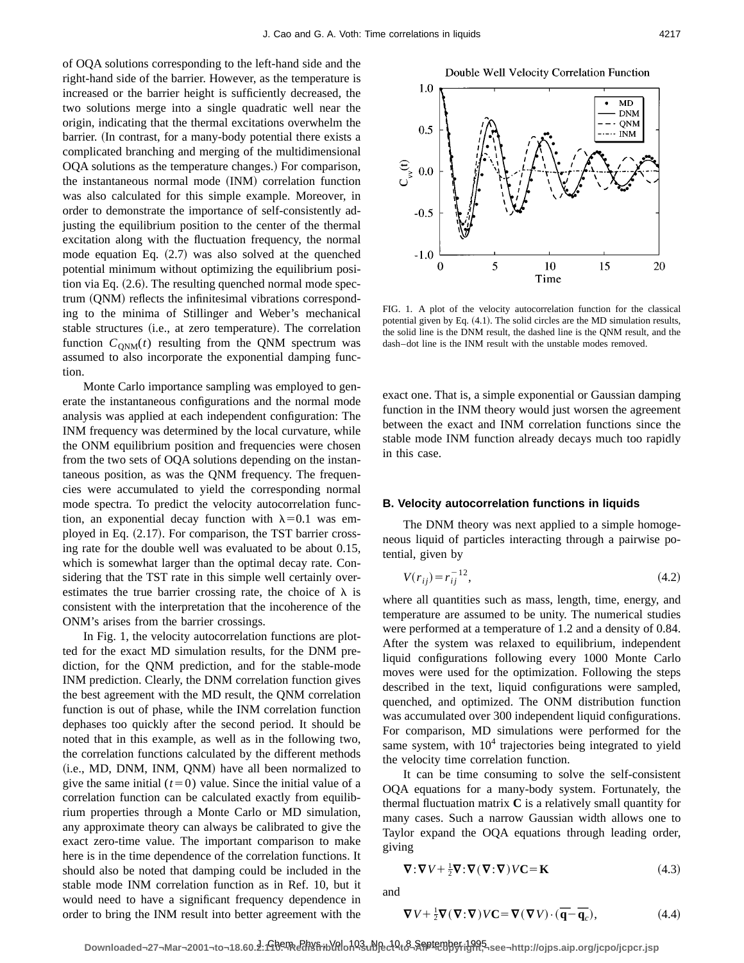of OQA solutions corresponding to the left-hand side and the right-hand side of the barrier. However, as the temperature is increased or the barrier height is sufficiently decreased, the two solutions merge into a single quadratic well near the origin, indicating that the thermal excitations overwhelm the barrier. (In contrast, for a many-body potential there exists a complicated branching and merging of the multidimensional OQA solutions as the temperature changes.) For comparison, the instantaneous normal mode (INM) correlation function was also calculated for this simple example. Moreover, in order to demonstrate the importance of self-consistently adjusting the equilibrium position to the center of the thermal excitation along with the fluctuation frequency, the normal mode equation Eq.  $(2.7)$  was also solved at the quenched potential minimum without optimizing the equilibrium position via Eq.  $(2.6)$ . The resulting quenched normal mode spectrum (QNM) reflects the infinitesimal vibrations corresponding to the minima of Stillinger and Weber's mechanical stable structures (i.e., at zero temperature). The correlation function  $C_{\text{ONM}}(t)$  resulting from the QNM spectrum was assumed to also incorporate the exponential damping function.

Monte Carlo importance sampling was employed to generate the instantaneous configurations and the normal mode analysis was applied at each independent configuration: The INM frequency was determined by the local curvature, while the ONM equilibrium position and frequencies were chosen from the two sets of OQA solutions depending on the instantaneous position, as was the QNM frequency. The frequencies were accumulated to yield the corresponding normal mode spectra. To predict the velocity autocorrelation function, an exponential decay function with  $\lambda=0.1$  was employed in Eq.  $(2.17)$ . For comparison, the TST barrier crossing rate for the double well was evaluated to be about 0.15, which is somewhat larger than the optimal decay rate. Considering that the TST rate in this simple well certainly overestimates the true barrier crossing rate, the choice of  $\lambda$  is consistent with the interpretation that the incoherence of the ONM's arises from the barrier crossings.

In Fig. 1, the velocity autocorrelation functions are plotted for the exact MD simulation results, for the DNM prediction, for the QNM prediction, and for the stable-mode INM prediction. Clearly, the DNM correlation function gives the best agreement with the MD result, the QNM correlation function is out of phase, while the INM correlation function dephases too quickly after the second period. It should be noted that in this example, as well as in the following two, the correlation functions calculated by the different methods  $(i.e., MD, DNM, INM, QNM)$  have all been normalized to give the same initial  $(t=0)$  value. Since the initial value of a correlation function can be calculated exactly from equilibrium properties through a Monte Carlo or MD simulation, any approximate theory can always be calibrated to give the exact zero-time value. The important comparison to make here is in the time dependence of the correlation functions. It should also be noted that damping could be included in the stable mode INM correlation function as in Ref. 10, but it would need to have a significant frequency dependence in order to bring the INM result into better agreement with the

Double Well Velocity Correlation Function



FIG. 1. A plot of the velocity autocorrelation function for the classical potential given by Eq.  $(4.1)$ . The solid circles are the MD simulation results, the solid line is the DNM result, the dashed line is the QNM result, and the dash–dot line is the INM result with the unstable modes removed.

exact one. That is, a simple exponential or Gaussian damping function in the INM theory would just worsen the agreement between the exact and INM correlation functions since the stable mode INM function already decays much too rapidly in this case.

#### **B. Velocity autocorrelation functions in liquids**

The DNM theory was next applied to a simple homogeneous liquid of particles interacting through a pairwise potential, given by

$$
V(r_{ij}) = r_{ij}^{-12},\tag{4.2}
$$

where all quantities such as mass, length, time, energy, and temperature are assumed to be unity. The numerical studies were performed at a temperature of 1.2 and a density of 0.84. After the system was relaxed to equilibrium, independent liquid configurations following every 1000 Monte Carlo moves were used for the optimization. Following the steps described in the text, liquid configurations were sampled, quenched, and optimized. The ONM distribution function was accumulated over 300 independent liquid configurations. For comparison, MD simulations were performed for the same system, with  $10<sup>4</sup>$  trajectories being integrated to yield the velocity time correlation function.

It can be time consuming to solve the self-consistent OQA equations for a many-body system. Fortunately, the thermal fluctuation matrix **C** is a relatively small quantity for many cases. Such a narrow Gaussian width allows one to Taylor expand the OQA equations through leading order, giving

$$
\nabla \cdot \nabla V + \frac{1}{2} \nabla \cdot \nabla (\nabla \cdot \nabla) V C = \mathbf{K}
$$
 (4.3)

and

$$
\nabla V + \frac{1}{2} \nabla (\nabla \cdot \nabla) V C = \nabla (\nabla V) \cdot (\overline{\mathbf{q}} - \overline{\mathbf{q}}_c),
$$
 (4.4)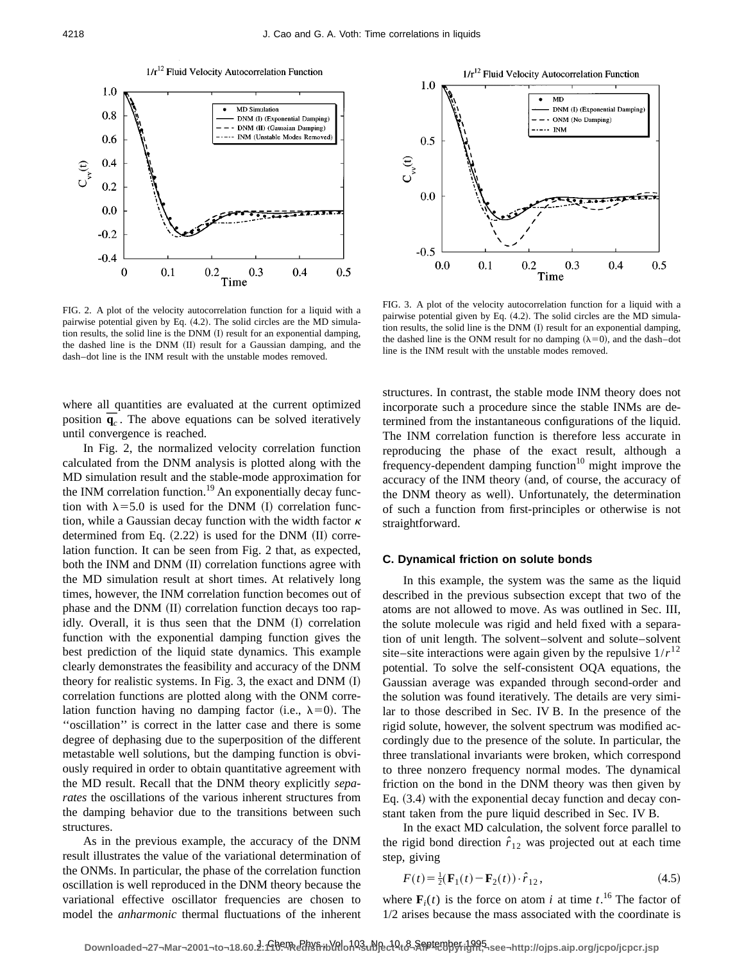

FIG. 2. A plot of the velocity autocorrelation function for a liquid with a pairwise potential given by Eq. (4.2). The solid circles are the MD simulation results, the solid line is the DNM (I) result for an exponential damping, the dashed line is the DNM (II) result for a Gaussian damping, and the dash–dot line is the INM result with the unstable modes removed.

where all quantities are evaluated at the current optimized position  $\overline{\mathbf{q}}_c$ . The above equations can be solved iteratively until convergence is reached.

In Fig. 2, the normalized velocity correlation function calculated from the DNM analysis is plotted along with the MD simulation result and the stable-mode approximation for the INM correlation function.<sup>19</sup> An exponentially decay function with  $\lambda$ =5.0 is used for the DNM (I) correlation function, while a Gaussian decay function with the width factor  $\kappa$ determined from Eq.  $(2.22)$  is used for the DNM  $(II)$  correlation function. It can be seen from Fig. 2 that, as expected, both the INM and DNM  $(II)$  correlation functions agree with the MD simulation result at short times. At relatively long times, however, the INM correlation function becomes out of phase and the DNM (II) correlation function decays too rapidly. Overall, it is thus seen that the  $DNM$   $(I)$  correlation function with the exponential damping function gives the best prediction of the liquid state dynamics. This example clearly demonstrates the feasibility and accuracy of the DNM theory for realistic systems. In Fig. 3, the exact and DNM  $(I)$ correlation functions are plotted along with the ONM correlation function having no damping factor (i.e.,  $\lambda=0$ ). The ''oscillation'' is correct in the latter case and there is some degree of dephasing due to the superposition of the different metastable well solutions, but the damping function is obviously required in order to obtain quantitative agreement with the MD result. Recall that the DNM theory explicitly *separates* the oscillations of the various inherent structures from the damping behavior due to the transitions between such structures.

As in the previous example, the accuracy of the DNM result illustrates the value of the variational determination of the ONMs. In particular, the phase of the correlation function oscillation is well reproduced in the DNM theory because the variational effective oscillator frequencies are chosen to model the *anharmonic* thermal fluctuations of the inherent



FIG. 3. A plot of the velocity autocorrelation function for a liquid with a pairwise potential given by Eq.  $(4.2)$ . The solid circles are the MD simulation results, the solid line is the DNM (I) result for an exponential damping, the dashed line is the ONM result for no damping  $(\lambda=0)$ , and the dash–dot line is the INM result with the unstable modes removed.

structures. In contrast, the stable mode INM theory does not incorporate such a procedure since the stable INMs are determined from the instantaneous configurations of the liquid. The INM correlation function is therefore less accurate in reproducing the phase of the exact result, although a frequency-dependent damping function $10$  might improve the accuracy of the INM theory (and, of course, the accuracy of the DNM theory as well). Unfortunately, the determination of such a function from first-principles or otherwise is not straightforward.

#### **C. Dynamical friction on solute bonds**

In this example, the system was the same as the liquid described in the previous subsection except that two of the atoms are not allowed to move. As was outlined in Sec. III, the solute molecule was rigid and held fixed with a separation of unit length. The solvent–solvent and solute–solvent site–site interactions were again given by the repulsive  $1/r^{12}$ potential. To solve the self-consistent OQA equations, the Gaussian average was expanded through second-order and the solution was found iteratively. The details are very similar to those described in Sec. IV B. In the presence of the rigid solute, however, the solvent spectrum was modified accordingly due to the presence of the solute. In particular, the three translational invariants were broken, which correspond to three nonzero frequency normal modes. The dynamical friction on the bond in the DNM theory was then given by Eq.  $(3.4)$  with the exponential decay function and decay constant taken from the pure liquid described in Sec. IV B.

In the exact MD calculation, the solvent force parallel to the rigid bond direction  $\hat{r}_{12}$  was projected out at each time step, giving

$$
F(t) = \frac{1}{2} (\mathbf{F}_1(t) - \mathbf{F}_2(t)) \cdot \hat{r}_{12},
$$
\n(4.5)

where  $\mathbf{F}_i(t)$  is the force on atom *i* at time *t*.<sup>16</sup> The factor of 1/2 arises because the mass associated with the coordinate is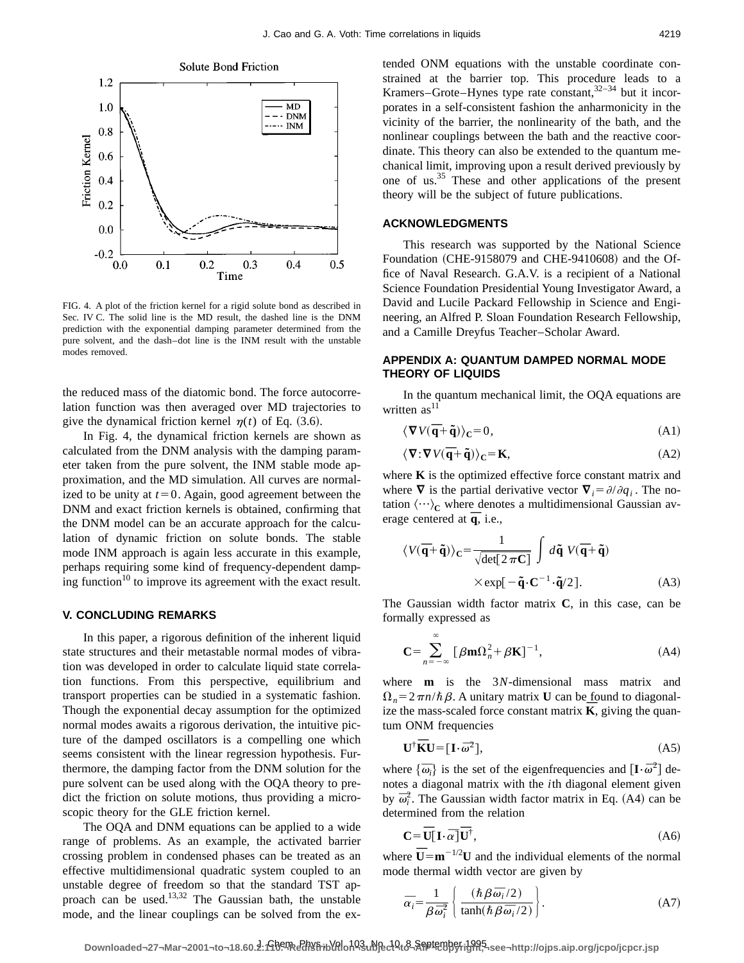

FIG. 4. A plot of the friction kernel for a rigid solute bond as described in Sec. IV C. The solid line is the MD result, the dashed line is the DNM prediction with the exponential damping parameter determined from the pure solvent, and the dash–dot line is the INM result with the unstable modes removed.

the reduced mass of the diatomic bond. The force autocorrelation function was then averaged over MD trajectories to give the dynamical friction kernel  $\eta(t)$  of Eq. (3.6).

In Fig. 4, the dynamical friction kernels are shown as calculated from the DNM analysis with the damping parameter taken from the pure solvent, the INM stable mode approximation, and the MD simulation. All curves are normalized to be unity at  $t=0$ . Again, good agreement between the DNM and exact friction kernels is obtained, confirming that the DNM model can be an accurate approach for the calculation of dynamic friction on solute bonds. The stable mode INM approach is again less accurate in this example, perhaps requiring some kind of frequency-dependent damping function<sup>10</sup> to improve its agreement with the exact result.

#### **V. CONCLUDING REMARKS**

In this paper, a rigorous definition of the inherent liquid state structures and their metastable normal modes of vibration was developed in order to calculate liquid state correlation functions. From this perspective, equilibrium and transport properties can be studied in a systematic fashion. Though the exponential decay assumption for the optimized normal modes awaits a rigorous derivation, the intuitive picture of the damped oscillators is a compelling one which seems consistent with the linear regression hypothesis. Furthermore, the damping factor from the DNM solution for the pure solvent can be used along with the OQA theory to predict the friction on solute motions, thus providing a microscopic theory for the GLE friction kernel.

The OQA and DNM equations can be applied to a wide range of problems. As an example, the activated barrier crossing problem in condensed phases can be treated as an effective multidimensional quadratic system coupled to an unstable degree of freedom so that the standard TST approach can be used.13,32 The Gaussian bath, the unstable mode, and the linear couplings can be solved from the extended ONM equations with the unstable coordinate constrained at the barrier top. This procedure leads to a Kramers–Grote–Hynes type rate constant, $32-34$  but it incorporates in a self-consistent fashion the anharmonicity in the vicinity of the barrier, the nonlinearity of the bath, and the nonlinear couplings between the bath and the reactive coordinate. This theory can also be extended to the quantum mechanical limit, improving upon a result derived previously by one of us.35 These and other applications of the present theory will be the subject of future publications.

### **ACKNOWLEDGMENTS**

This research was supported by the National Science Foundation  $(CHE-9158079$  and CHE-9410608) and the Office of Naval Research. G.A.V. is a recipient of a National Science Foundation Presidential Young Investigator Award, a David and Lucile Packard Fellowship in Science and Engineering, an Alfred P. Sloan Foundation Research Fellowship, and a Camille Dreyfus Teacher–Scholar Award.

## **APPENDIX A: QUANTUM DAMPED NORMAL MODE THEORY OF LIQUIDS**

In the quantum mechanical limit, the OQA equations are written  $as<sup>11</sup>$ 

$$
\langle \nabla V(\overline{\mathbf{q}} + \tilde{\mathbf{q}}) \rangle_{\mathbf{C}} = 0, \tag{A1}
$$

$$
\langle \nabla \cdot \nabla V(\overline{\mathbf{q}} + \tilde{\mathbf{q}}) \rangle_{\mathbf{C}} = \mathbf{K},\tag{A2}
$$

where **K** is the optimized effective force constant matrix and where  $\nabla$  is the partial derivative vector  $\nabla_i = \partial/\partial q_i$ . The notation  $\langle \cdots \rangle_C$  where denotes a multidimensional Gaussian average centered at  $\overline{q}$ , i.e.,

$$
\langle V(\overline{\mathbf{q}} + \tilde{\mathbf{q}}) \rangle_{\mathbf{C}} = \frac{1}{\sqrt{\det[2 \pi \mathbf{C}]} \int d\tilde{\mathbf{q}} \ V(\overline{\mathbf{q}} + \tilde{\mathbf{q}})
$$
  
× $\exp[-\tilde{\mathbf{q}} \cdot \mathbf{C}^{-1} \cdot \tilde{\mathbf{q}}/2].$  (A3)

The Gaussian width factor matrix **C**, in this case, can be formally expressed as

$$
\mathbf{C} = \sum_{n=-\infty}^{\infty} \left[ \beta \mathbf{m} \Omega_n^2 + \beta \mathbf{K} \right]^{-1},\tag{A4}
$$

where **m** is the 3*N*-dimensional mass matrix and  $\Omega_n = 2\pi n/\hbar \beta$ . A unitary matrix **U** can be found to diagonalize the mass-scaled force constant matrix  $\overline{K}$ , giving the quantum ONM frequencies

$$
\mathbf{U}^{\dagger}\overline{\mathbf{K}}\mathbf{U} = [\mathbf{I}\cdot\overline{\omega}^2],\tag{A5}
$$

where  $\{\overline{\omega}_i\}$  is the set of the eigenfrequencies and  $[\mathbf{I} \cdot \overline{\omega}^2]$  denotes a diagonal matrix with the *i*th diagonal element given by  $\overline{\omega}_i^2$ . The Gaussian width factor matrix in Eq. (A4) can be determined from the relation

$$
\mathbf{C} = \overline{\mathbf{U}}[\mathbf{I} \cdot \overline{\alpha}] \overline{\mathbf{U}}^{\dagger},\tag{A6}
$$

where  $\overline{\mathbf{U}} = \mathbf{m}^{-1/2} \mathbf{U}$  and the individual elements of the normal mode thermal width vector are given by

$$
\bar{\alpha}_i = \frac{1}{\beta \bar{\omega}_i^2} \left\{ \frac{(\hbar \beta \bar{\omega}_i/2)}{\tanh(\hbar \beta \bar{\omega}_i/2)} \right\}.
$$
 (A7)